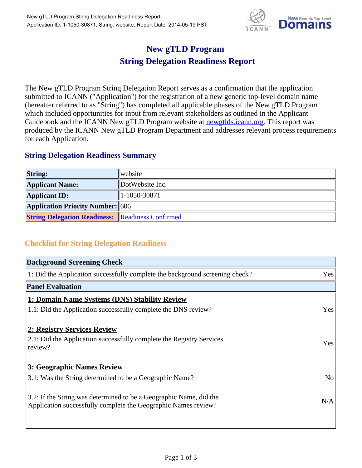

## **New gTLD Program String Delegation Readiness Report**

The New gTLD Program String Delegation Report serves as a confirmation that the application submitted to ICANN ("Application") for the registration of a new generic top-level domain name (hereafter referred to as "String") has completed all applicable phases of the New gTLD Program which included opportunities for input from relevant stakeholders as outlined in the Applicant Guidebook and the ICANN New gTLD Program website at **newgtlds.icann.org**. This report was produced by the ICANN New gTLD Program Department and addresses relevant process requirements for each Application.

## **String Delegation Readiness Summary**

| <b>String:</b>                                          | website              |
|---------------------------------------------------------|----------------------|
| <b>Applicant Name:</b>                                  | DotWebsite Inc.      |
| <b>Applicant ID:</b>                                    | $ 1 - 1050 - 30871 $ |
| <b>Application Priority Number: 606</b>                 |                      |
| <b>String Delegation Readiness: Readiness Confirmed</b> |                      |

## **Checklist for String Delegation Readiness**

| <b>Background Screening Check</b>                                            |                |
|------------------------------------------------------------------------------|----------------|
| 1: Did the Application successfully complete the background screening check? | Yes            |
| <b>Panel Evaluation</b>                                                      |                |
| 1: Domain Name Systems (DNS) Stability Review                                |                |
| 1.1: Did the Application successfully complete the DNS review?               | Yes            |
| 2: Registry Services Review                                                  |                |
| 2.1: Did the Application successfully complete the Registry Services         | Yes            |
| review?                                                                      |                |
| <b>3: Geographic Names Review</b>                                            |                |
| 3.1: Was the String determined to be a Geographic Name?                      | N <sub>o</sub> |
| 3.2: If the String was determined to be a Geographic Name, did the           |                |
| Application successfully complete the Geographic Names review?               | N/A            |
|                                                                              |                |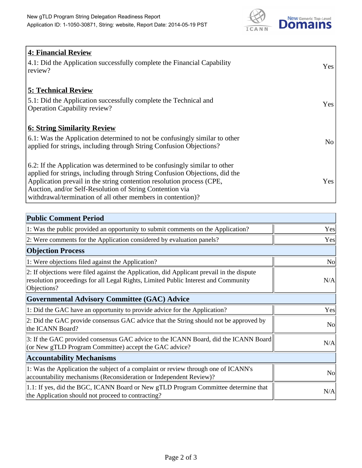

| <b>4: Financial Review</b><br>$\vert$ 4.1: Did the Application successfully complete the Financial Capability<br>review?                                                                                                                                                                                                                                     | <b>Yes</b> |
|--------------------------------------------------------------------------------------------------------------------------------------------------------------------------------------------------------------------------------------------------------------------------------------------------------------------------------------------------------------|------------|
| <b>5: Technical Review</b><br>5.1: Did the Application successfully complete the Technical and<br><b>Operation Capability review?</b>                                                                                                                                                                                                                        | <b>Yes</b> |
| <b>6: String Similarity Review</b><br>$\vert$ 6.1: Was the Application determined to not be confusingly similar to other<br>applied for strings, including through String Confusion Objections?                                                                                                                                                              | No         |
| 6.2: If the Application was determined to be confusingly similar to other<br>applied for strings, including through String Confusion Objections, did the<br>Application prevail in the string contention resolution process (CPE,<br>Auction, and/or Self-Resolution of String Contention via<br>withdrawal/termination of all other members in contention)? | Yes        |

| <b>Public Comment Period</b>                                                                                                                                                                   |                |
|------------------------------------------------------------------------------------------------------------------------------------------------------------------------------------------------|----------------|
| 1: Was the public provided an opportunity to submit comments on the Application?                                                                                                               | Yes            |
| 2: Were comments for the Application considered by evaluation panels?                                                                                                                          | Yes            |
| <b>Objection Process</b>                                                                                                                                                                       |                |
| 1: Were objections filed against the Application?                                                                                                                                              | N <sub>o</sub> |
| 2: If objections were filed against the Application, did Applicant prevail in the dispute<br>resolution proceedings for all Legal Rights, Limited Public Interest and Community<br>Objections? | N/A            |
| <b>Governmental Advisory Committee (GAC) Advice</b>                                                                                                                                            |                |
| 1: Did the GAC have an opportunity to provide advice for the Application?                                                                                                                      | Yes            |
| 2: Did the GAC provide consensus GAC advice that the String should not be approved by<br>the ICANN Board?                                                                                      | <b>No</b>      |
| 3: If the GAC provided consensus GAC advice to the ICANN Board, did the ICANN Board<br>(or New gTLD Program Committee) accept the GAC advice?                                                  | N/A            |
| <b>Accountability Mechanisms</b>                                                                                                                                                               |                |
| 1: Was the Application the subject of a complaint or review through one of ICANN's<br>accountability mechanisms (Reconsideration or Independent Review)?                                       | N <sub>o</sub> |
| 1.1: If yes, did the BGC, ICANN Board or New gTLD Program Committee determine that<br>the Application should not proceed to contracting?                                                       | N/A            |